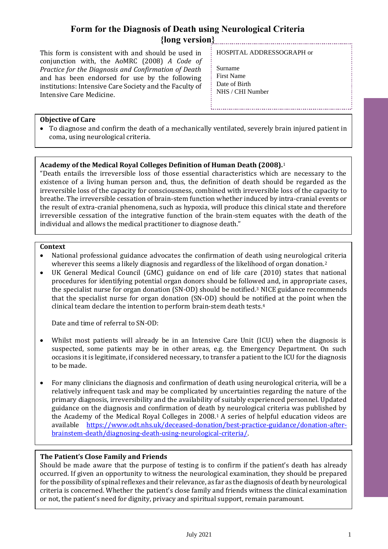This form is consistent with and should be used in conjunction with, the AoMRC (2008) *A Code of Practice for the Diagnosis and Confirmation of Death* and has been endorsed for use by the following institutions: Intensive Care Society and the Faculty of Intensive Care Medicine.

#### HOSPITAL ADDRESSOGRAPH or

Surname First Name Date of Birth NHS / CHI Number

#### **Objective of Care**

• To diagnose and confirm the death of a mechanically ventilated, severely brain injured patient in coma, using neurological criteria.

#### **Academy of the Medical Royal Colleges Definition of Human Death (2008).**<sup>1</sup>

"Death entails the irreversible loss of those essential characteristics which are necessary to the existence of a living human person and, thus, the definition of death should be regarded as the irreversible loss of the capacity for consciousness, combined with irreversible loss of the capacity to breathe. The irreversible cessation of brain-stem function whether induced by intra-cranial events or the result of extra-cranial phenomena, such as hypoxia, will produce this clinical state and therefore irreversible cessation of the integrative function of the brain-stem equates with the death of the individual and allows the medical practitioner to diagnose death."

#### **Context**

- National professional guidance advocates the confirmation of death using neurological criteria wherever this seems a likely diagnosis and regardless of the likelihood of organ donation.<sup>2</sup>
- UK General Medical Council (GMC) guidance on end of life care (2010) states that national procedures for identifying potential organ donors should be followed and, in appropriate cases, the specialist nurse for organ donation (SN-OD) should be notified.<sup>3</sup> NICE guidance recommends that the specialist nurse for organ donation (SN-OD) should be notified at the point when the clinical team declare the intention to perform brain-stem death tests.<sup>4</sup>

Date and time of referral to SN-OD:

- Whilst most patients will already be in an Intensive Care Unit (ICU) when the diagnosis is suspected, some patients may be in other areas, e.g. the Emergency Department. On such occasions it is legitimate, if considered necessary, to transfer a patient to the ICU for the diagnosis to be made.
- For many clinicians the diagnosis and confirmation of death using neurological criteria, will be a relatively infrequent task and may be complicated by uncertainties regarding the nature of the primary diagnosis, irreversibility and the availability of suitably experienced personnel. Updated guidance on the diagnosis and confirmation of death by neurological criteria was published by the Academy of the Medical Royal Colleges in 2008.<sup>1</sup> A series of helpful education videos are available [https://www.odt.nhs.uk/deceased-donation/best-practice-guidance/donation-after](https://www.odt.nhs.uk/deceased-donation/best-practice-guidance/donation-after-brainstem-death/diagnosing-death-using-neurological-criteria/)[brainstem-death/diagnosing-death-using-neurological-criteria/.](https://www.odt.nhs.uk/deceased-donation/best-practice-guidance/donation-after-brainstem-death/diagnosing-death-using-neurological-criteria/)

#### **The Patient's Close Family and Friends**

Should be made aware that the purpose of testing is to confirm if the patient's death has already occurred. If given an opportunity to witness the neurological examination, they should be prepared for the possibility of spinal reflexes and their relevance, as far as the diagnosis of death by neurological criteria is concerned. Whether the patient's close family and friends witness the clinical examination or not, the patient's need for dignity, privacy and spiritual support, remain paramount.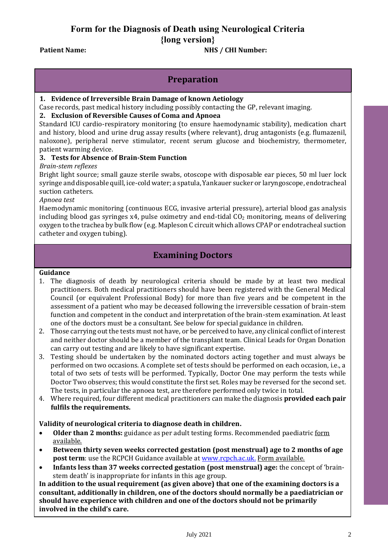Patient Name: NHS / CHI Number:

## **Preparation**

#### **1. Evidence of Irreversible Brain Damage of known Aetiology**

Case records, past medical history including possibly contacting the GP, relevant imaging.

#### **2. Exclusion of Reversible Causes of Coma and Apnoea**

Standard ICU cardio-respiratory monitoring (to ensure haemodynamic stability), medication chart and history, blood and urine drug assay results (where relevant), drug antagonists (e.g. flumazenil, naloxone), peripheral nerve stimulator, recent serum glucose and biochemistry, thermometer, patient warming device.

#### **3. Tests for Absence of Brain-Stem Function**

#### *Brain-stem reflexes*

Bright light source; small gauze sterile swabs, otoscope with disposable ear pieces, 50 ml luer lock syringe and disposable quill, ice-cold water; a spatula, Yankauer sucker or laryngoscope, endotracheal suction catheters.

*Apnoea test*

Haemodynamic monitoring (continuous ECG, invasive arterial pressure), arterial blood gas analysis including blood gas syringes  $x4$ , pulse oximetry and end-tidal  $CO<sub>2</sub>$  monitoring, means of delivering oxygen to the trachea by bulk flow (e.g. Mapleson C circuit which allows CPAP or endotracheal suction catheter and oxygen tubing).

## **Examining Doctors**

#### **Guidance**

- 1. The diagnosis of death by neurological criteria should be made by at least two medical practitioners. Both medical practitioners should have been registered with the General Medical Council (or equivalent Professional Body) for more than five years and be competent in the assessment of a patient who may be deceased following the irreversible cessation of brain-stem function and competent in the conduct and interpretation of the brain-stem examination. At least one of the doctors must be a consultant. See below for special guidance in children.
- 2. Those carrying out the tests must not have, or be perceived to have, any clinical conflict of interest and neither doctor should be a member of the transplant team. Clinical Leads for Organ Donation can carry out testing and are likely to have significant expertise.
- 3. Testing should be undertaken by the nominated doctors acting together and must always be performed on two occasions. A complete set of tests should be performed on each occasion, i.e., a total of two sets of tests will be performed. Typically, Doctor One may perform the tests while Doctor Two observes; this would constitute the first set. Roles may be reversed for the second set. The tests, in particular the apnoea test, are therefore performed only twice in total.
- 4. Where required, four different medical practitioners can make the diagnosis **provided each pair fulfils the requirements.**

#### **Validity of neurological criteria to diagnose death in children.**

- **Older than 2 months:** guidance as per adult testing forms. Recommended paediatri[c form](https://nhsbtdbe.blob.core.windows.net/umbraco-assets-corp/4756/form-for-the-diagnosis-of-death-using-neurological-criteria-2-months-to-18-years-abbreviated-v1.pdf)  [available.](https://nhsbtdbe.blob.core.windows.net/umbraco-assets-corp/4756/form-for-the-diagnosis-of-death-using-neurological-criteria-2-months-to-18-years-abbreviated-v1.pdf)
- **Between thirty seven weeks corrected gestation (post menstrual) age to 2 months of age post term**: use the RCPCH Guidance available at **www.rcpch.ac.uk. [Form available.](https://nhsbtdbe.blob.core.windows.net/umbraco-assets-corp/4759/form-for-the-diagnosis-of-death-using-neurological-criteria-under-2-months-abbreviated-v1.pdf)**
- **Infants less than 37 weeks corrected gestation (post menstrual) age:** the concept of 'brainstem death' is inappropriate for infants in this age group.

**In addition to the usual requirement (as given above) that one of the examining doctors is a consultant, additionally in children, one of the doctors should normally be a paediatrician or should have experience with children and one of the doctors should not be primarily involved in the child's care.**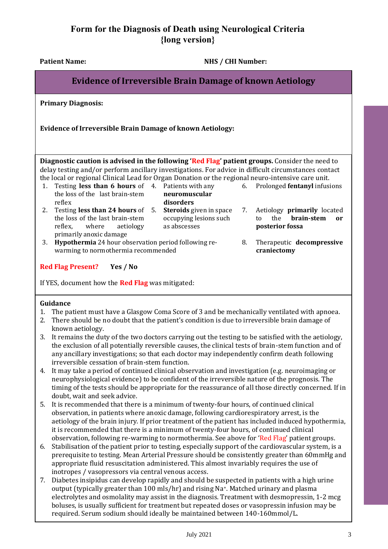Patient Name: NHS / CHI Number:

6. Prolonged **fentanyl** infusions

7. Aetiology **primarily** located to the **brain-stem or** 

8. Therapeutic **decompressive** 

**posterior fossa**

**craniectomy**

# **Evidence of Irreversible Brain Damage of known Aetiology**

**Primary Diagnosis:**

**Evidence of Irreversible Brain Damage of known Aetiology:**

**Diagnostic caution is advised in the following 'Red Flag' patient groups.** Consider the need to delay testing and/or perform ancillary investigations. For advice in difficult circumstances contact the local or regional Clinical Lead for Organ Donation or the regional neuro-intensive care unit.

occupying lesions such

as abscesses

| 1. Testing <b>less than 6 hours</b> of 4. Patients with any |               |  |
|-------------------------------------------------------------|---------------|--|
| the loss of the last brain-stem                             | neuromuscular |  |
| reflex                                                      | disorders     |  |
| 2. Testing less than 24 hours of 5. Steroids given in space |               |  |

- the loss of the last brain-stem reflex, where aetiology primarily anoxic damage
- 3. **Hypothermia** 24 hour observation period following rewarming to normothermia recommended

#### **Red Flag Present? Yes / No**

If YES, document how the **Red Flag** was mitigated:

#### **Guidance**

- 1. The patient must have a Glasgow Coma Score of 3 and be mechanically ventilated with apnoea.
- 2. There should be no doubt that the patient's condition is due to irreversible brain damage of known aetiology.
- 3. It remains the duty of the two doctors carrying out the testing to be satisfied with the aetiology, the exclusion of all potentially reversible causes, the clinical tests of brain-stem function and of any ancillary investigations; so that each doctor may independently confirm death following irreversible cessation of brain-stem function.
- 4. It may take a period of continued clinical observation and investigation (e.g. neuroimaging or neurophysiological evidence) to be confident of the irreversible nature of the prognosis. The timing of the tests should be appropriate for the reassurance of all those directly concerned. If in doubt, wait and seek advice.
- 5. It is recommended that there is a minimum of twenty-four hours, of continued clinical observation, in patients where anoxic damage, following cardiorespiratory arrest, is the aetiology of the brain injury. If prior treatment of the patient has included induced hypothermia, it is recommended that there is a minimum of twenty-four hours, of continued clinical observation, following re-warming to normothermia. See above for 'Red Flag' patient groups.
- 6. Stabilisation of the patient prior to testing, especially support of the cardiovascular system, is a prerequisite to testing. Mean Arterial Pressure should be consistently greater than 60mmHg and appropriate fluid resuscitation administered. This almost invariably requires the use of inotropes / vasopressors via central venous access.
- 7. Diabetes insipidus can develop rapidly and should be suspected in patients with a high urine output (typically greater than 100 mls/hr) and rising Na+. Matched urinary and plasma electrolytes and osmolality may assist in the diagnosis. Treatment with desmopressin, 1-2 mcg boluses, is usually sufficient for treatment but repeated doses or vasopressin infusion may be required. Serum sodium should ideally be maintained between 140-160mmol/L.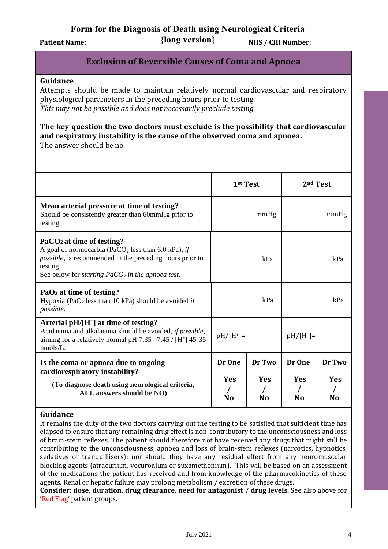**{long version}** Patient Name:  $\{long \text{ versus } \}$  NHS / CHI Number:

## **Exclusion of Reversible Causes of Coma and Apnoea**

#### **Guidance**

Attempts should be made to maintain relatively normal cardiovascular and respiratory physiological parameters in the preceding hours prior to testing. *This may not be possible and does not necessarily preclude testing.*

#### **The key question the two doctors must exclude is the possibility that cardiovascular and respiratory instability is the cause of the observed coma and apnoea.** The answer should be no.

|                                                                                                                                                                                                                                                |                            | 1 <sup>st</sup> Test                   | 2 <sup>nd</sup> Test                   |                            |  |
|------------------------------------------------------------------------------------------------------------------------------------------------------------------------------------------------------------------------------------------------|----------------------------|----------------------------------------|----------------------------------------|----------------------------|--|
| Mean arterial pressure at time of testing?<br>Should be consistently greater than 60mmHg prior to<br>testing.                                                                                                                                  |                            | mmHg                                   | mmHg                                   |                            |  |
| PaCO <sub>2</sub> at time of testing?<br>A goal of normocarbia (PaCO <sub>2</sub> less than 6.0 kPa), if<br><i>possible</i> , is recommended in the preceding hours prior to<br>testing.<br>See below for starting $PaCO2$ in the apnoea test. |                            | kPa                                    | kPa                                    |                            |  |
| $PaO2$ at time of testing?<br>Hypoxia (PaO <sub>2</sub> less than 10 kPa) should be avoided if<br>possible.                                                                                                                                    | kPa                        |                                        | kPa                                    |                            |  |
| Arterial $pH/[H^+]$ at time of testing?<br>Acidaemia and alkalaemia should be avoided, if possible,<br>aiming for a relatively normal pH 7.35 -7.45 / [H <sup>+</sup> ] 45-35<br>nmols/L.                                                      | $pH/[H^+] =$               |                                        | $pH/[H^+]$ =                           |                            |  |
| Is the coma or apnoea due to ongoing<br>cardiorespiratory instability?<br>(To diagnose death using neurological criteria,<br>ALL answers should be NO)                                                                                         | Dr One<br><b>Yes</b><br>No | Dr Two<br><b>Yes</b><br>N <sub>0</sub> | Dr One<br><b>Yes</b><br>N <sub>0</sub> | Dr Two<br><b>Yes</b><br>No |  |

#### **Guidance**

It remains the duty of the two doctors carrying out the testing to be satisfied that sufficient time has elapsed to ensure that any remaining drug effect is non-contributory to the unconsciousness and loss of brain-stem reflexes. The patient should therefore not have received any drugs that might still be contributing to the unconsciousness, apnoea and loss of brain-stem reflexes (narcotics, hypnotics, sedatives or tranquillisers); nor should they have any residual effect from any neuromuscular blocking agents (atracurium, vecuronium or suxamethonium). This will be based on an assessment of the medications the patient has received and from knowledge of the pharmacokinetics of these agents. Renal or hepatic failure may prolong metabolism / excretion of these drugs.

**Consider: dose, duration, drug clearance, need for antagonist / drug levels.** See also above for 'Red Flag' patient groups.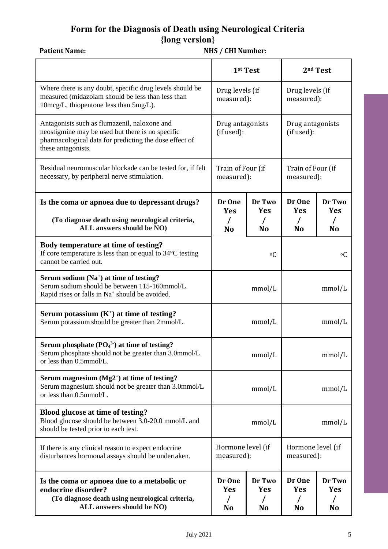# **Form for the Diagnosis of Death using Neurological Criteria {long version}** Patient Name: **NHS** / CHI Number:

|                                                                                                                                                                                  |                                                                      | 1st Test                               | 2 <sup>nd</sup> Test                   |                                        |  |
|----------------------------------------------------------------------------------------------------------------------------------------------------------------------------------|----------------------------------------------------------------------|----------------------------------------|----------------------------------------|----------------------------------------|--|
| Where there is any doubt, specific drug levels should be<br>measured (midazolam should be less than less than<br>10mcg/L, thiopentone less than 5mg/L).                          | Drug levels (if<br>measured):                                        |                                        | Drug levels (if<br>measured):          |                                        |  |
| Antagonists such as flumazenil, naloxone and<br>neostigmine may be used but there is no specific<br>pharmacological data for predicting the dose effect of<br>these antagonists. | Drug antagonists<br>(if used):                                       |                                        | Drug antagonists<br>(if used):         |                                        |  |
| Residual neuromuscular blockade can be tested for, if felt<br>necessary, by peripheral nerve stimulation.                                                                        | Train of Four (if<br>measured):                                      |                                        | Train of Four (if<br>measured):        |                                        |  |
| Is the coma or apnoea due to depressant drugs?<br>(To diagnose death using neurological criteria,<br>ALL answers should be NO)                                                   | Dr One<br><b>Yes</b><br>N <sub>o</sub>                               | Dr Two<br><b>Yes</b><br>N <sub>o</sub> | Dr One<br><b>Yes</b><br>N <sub>0</sub> | Dr Two<br><b>Yes</b><br>N <sub>o</sub> |  |
| Body temperature at time of testing?<br>If core temperature is less than or equal to $34^{\circ}$ C testing<br>cannot be carried out.                                            |                                                                      | $\rm ^oC$                              | $\circ$ C                              |                                        |  |
| Serum sodium (Na <sup>+</sup> ) at time of testing?<br>Serum sodium should be between 115-160mmol/L.<br>Rapid rises or falls in Na <sup>+</sup> should be avoided.               | mmol/L                                                               |                                        | mmol/L                                 |                                        |  |
| Serum potassium $(K^+)$ at time of testing?<br>Serum potassium should be greater than 2mmol/L.                                                                                   | mmol/L                                                               |                                        | mmol/L                                 |                                        |  |
| Serum phosphate $(PO43)$ at time of testing?<br>Serum phosphate should not be greater than 3.0mmol/L<br>or less than 0.5mmol/L.                                                  | mmol/L                                                               |                                        | mmol/L                                 |                                        |  |
| Serum magnesium $(Mg2^+)$ at time of testing?<br>Serum magnesium should not be greater than 3.0mmol/L<br>or less than 0.5mmol/L.                                                 | mmol/L                                                               |                                        | mmol/L                                 |                                        |  |
| <b>Blood glucose at time of testing?</b><br>Blood glucose should be between 3.0-20.0 mmol/L and<br>should be tested prior to each test.                                          | mmol/L                                                               |                                        | mmol/L                                 |                                        |  |
| If there is any clinical reason to expect endocrine<br>disturbances hormonal assays should be undertaken.                                                                        | Hormone level (if<br>measured):                                      |                                        | Hormone level (if<br>measured):        |                                        |  |
| Is the coma or apnoea due to a metabolic or<br>endocrine disorder?<br>(To diagnose death using neurological criteria,<br>ALL answers should be NO)                               | Dr One<br>Dr Two<br>Yes<br><b>Yes</b><br>N <sub>o</sub><br><b>No</b> |                                        | Dr One<br><b>Yes</b><br><b>No</b>      | Dr Two<br><b>Yes</b><br><b>No</b>      |  |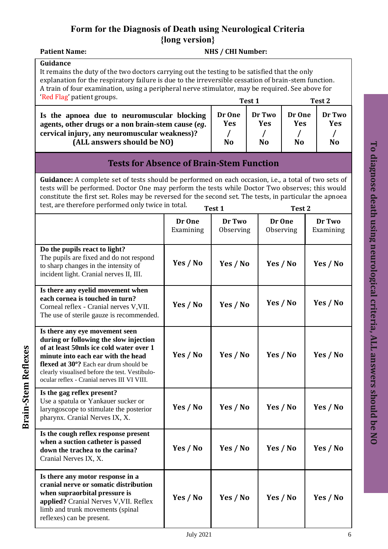**Particle 2: Particle 2: Particle 2: Particle 2: Particle 2: Particle 2: Particle 2: Particle 2: Particle 2: Particle 2: Particle 2: Particle 2: Particle 2: Particle 2: Particle 2: Particle 2:** 

### **Guidance**

**Brain-Stem Reflexes**

**Brain-Stem Reflexes** 

It remains the duty of the two doctors carrying out the testing to be satisfied that the only explanation for the respiratory failure is due to the irreversible cessation of brain-stem function. A train of four examination, using a peripheral nerve stimulator, may be required. See above for 'Red Flag' patient groups.

| Red Fig patient groups.                                                                                                                                                          | Test 1                          |                                        | Test 2                                 |                            |
|----------------------------------------------------------------------------------------------------------------------------------------------------------------------------------|---------------------------------|----------------------------------------|----------------------------------------|----------------------------|
| Is the apnoea due to neuromuscular blocking<br>agents, other drugs or a non brain-stem cause (eg.<br>cervical injury, any neuromuscular weakness)?<br>(ALL answers should be NO) | Dr One<br>Yes<br>N <sub>o</sub> | Dr Two<br><b>Yes</b><br>N <sub>o</sub> | Dr One<br><b>Yes</b><br>N <sub>o</sub> | Dr Two<br>Yes<br><b>No</b> |
|                                                                                                                                                                                  |                                 |                                        |                                        |                            |

# **Tests for Absence of Brain-Stem Function**

**Guidance:** A complete set of tests should be performed on each occasion, i.e., a total of two sets of tests will be performed. Doctor One may perform the tests while Doctor Two observes; this would constitute the first set. Roles may be reversed for the second set. The tests, in particular the apnoea test, are therefore performed only twice in total.

| test, are therefore performed only twice in total.                                                                                                                                                                                                                                                   | Test 1              |                     | Test <sub>2</sub>   |                     |  |
|------------------------------------------------------------------------------------------------------------------------------------------------------------------------------------------------------------------------------------------------------------------------------------------------------|---------------------|---------------------|---------------------|---------------------|--|
|                                                                                                                                                                                                                                                                                                      | Dr One<br>Examining | Dr Two<br>Observing | Dr One<br>Observing | Dr Two<br>Examining |  |
| Do the pupils react to light?<br>The pupils are fixed and do not respond<br>to sharp changes in the intensity of<br>incident light. Cranial nerves II, III.                                                                                                                                          | Yes / No            | Yes / No            | Yes / No            | Yes / No            |  |
| Is there any eyelid movement when<br>each cornea is touched in turn?<br>Corneal reflex - Cranial nerves V, VII.<br>The use of sterile gauze is recommended.                                                                                                                                          | Yes / No            | Yes / No            | Yes / No            | Yes / No            |  |
| Is there any eye movement seen<br>during or following the slow injection<br>of at least 50mls ice cold water over 1<br>minute into each ear with the head<br>flexed at 30°? Each ear drum should be<br>clearly visualised before the test. Vestibulo-<br>ocular reflex - Cranial nerves III VI VIII. | Yes / No            | Yes / No            | Yes / No            | Yes / No            |  |
| Is the gag reflex present?<br>Use a spatula or Yankauer sucker or<br>laryngoscope to stimulate the posterior<br>pharynx. Cranial Nerves IX, X.                                                                                                                                                       | Yes / No            | Yes / No            | Yes / No            | Yes / No            |  |
| Is the cough reflex response present<br>when a suction catheter is passed<br>down the trachea to the carina?<br>Cranial Nerves IX, X.                                                                                                                                                                | Yes / No            | Yes / No            | Yes / No            | Yes / No            |  |
| Is there any motor response in a<br>cranial nerve or somatic distribution<br>when supraorbital pressure is<br>applied? Cranial Nerves V, VII. Reflex<br>limb and trunk movements (spinal<br>reflexes) can be present.                                                                                | Yes / No            | Yes / No            | Yes / No            | Yes / No            |  |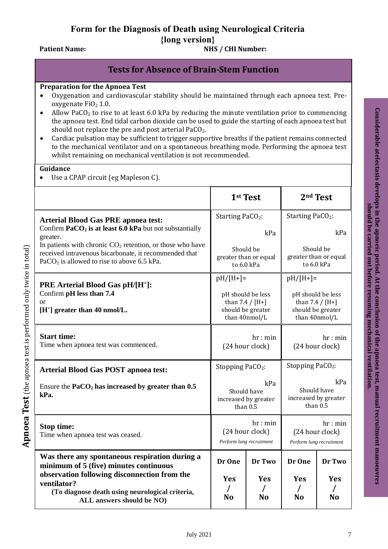## Patient Name: **NHS** / CHI Number:

# **Tests for Absence of Brain-Stem Function**

### **Preparation for the Apnoea Test**

- Oxygenation and cardiovascular stability should be maintained through each apnoea test. Preoxygenate  $FiO<sub>2</sub> 1.0$ .
- Allow PaCO<sub>2</sub> to rise to at least 6.0 kPa by reducing the minute ventilation prior to commencing the apnoea test. End tidal carbon dioxide can be used to guide the starting of each apnoea test but should not replace the pre and post arterial PaCO<sub>2</sub>.
- Cardiac pulsation may be sufficient to trigger supportive breaths if the patient remains connected to the mechanical ventilator and on a spontaneous breathing mode. Performing the apnoea test whilst remaining on mechanical ventilation is not recommended.

#### **Guidance**

**Apnoea Test** (the apnoea test is performed only twice in total)

Apnoea Test (the apnoea test is performed only twice in total)

Use a CPAP circuit (eg Mapleson C).

|                                                                                                                                                                      | 1 <sup>st</sup> Test                                                         |                                                  |                                                                              | 2 <sup>nd</sup> Test                                   |  |
|----------------------------------------------------------------------------------------------------------------------------------------------------------------------|------------------------------------------------------------------------------|--------------------------------------------------|------------------------------------------------------------------------------|--------------------------------------------------------|--|
| <b>Arterial Blood Gas PRE apnoea test:</b>                                                                                                                           |                                                                              | Starting PaCO <sub>2</sub> :                     |                                                                              | Starting PaCO <sub>2</sub> :                           |  |
| Confirm $PaCO2$ is at least 6.0 kPa but not substantially<br>greater.                                                                                                | kPa                                                                          |                                                  |                                                                              | kPa                                                    |  |
| In patients with chronic $CO2$ retention, or those who have<br>received intravenous bicarbonate, it recommended that<br>$PaCO2$ is allowed to rise to above 6.5 kPa. |                                                                              | Should be<br>greater than or equal<br>to 6.0 kPa |                                                                              | Should be<br>greater than or equal<br>to 6.0 kPa       |  |
| <b>PRE Arterial Blood Gas pH/[H<sup>+</sup>]:</b>                                                                                                                    | $pH/[H+]=$                                                                   |                                                  | $pH/[H+]=$                                                                   |                                                        |  |
| Confirm pH less than 7.4<br>$\alpha$ r<br>$[H^+]$ greater than 40 nmol/L.                                                                                            | pH should be less<br>than $7.4 / [H+]$<br>should be greater<br>than 40nmol/L |                                                  | pH should be less<br>than $7.4 / [H+]$<br>should be greater<br>than 40nmol/L |                                                        |  |
| <b>Start time:</b><br>Time when apnoea test was commenced.                                                                                                           | hr: min<br>(24 hour clock)                                                   |                                                  | hr: min<br>(24 hour clock)                                                   |                                                        |  |
| <b>Arterial Blood Gas POST apnoea test:</b>                                                                                                                          | Stopping PaCO <sub>2</sub> :                                                 |                                                  | Stopping Pa $CO2$ :                                                          |                                                        |  |
| Ensure the $PaCO2$ has increased by greater than $0.5$<br>kPa.                                                                                                       | kPa<br>Should have<br>increased by greater<br>than $0.5$                     |                                                  | kPa<br>Should have<br>increased by greater<br>than 0.5                       |                                                        |  |
| Stop time:<br>Time when apnoea test was ceased.                                                                                                                      | hr: min<br>(24 hour clock)<br>Perform lung recruitment                       |                                                  |                                                                              | hr: min<br>(24 hour clock)<br>Perform lung recruitment |  |
| Was there any spontaneous respiration during a<br>minimum of 5 (five) minutes continuous                                                                             | Dr One                                                                       | Dr Two                                           | Dr One                                                                       | Dr Two                                                 |  |
| observation following disconnection from the<br>ventilator?<br>(To diagnose death using neurological criteria,<br>ALL answers should be NO)                          |                                                                              | <b>Yes</b><br>N <sub>o</sub>                     | <b>Yes</b><br>N <sub>0</sub>                                                 | Yes<br>N <sub>o</sub>                                  |  |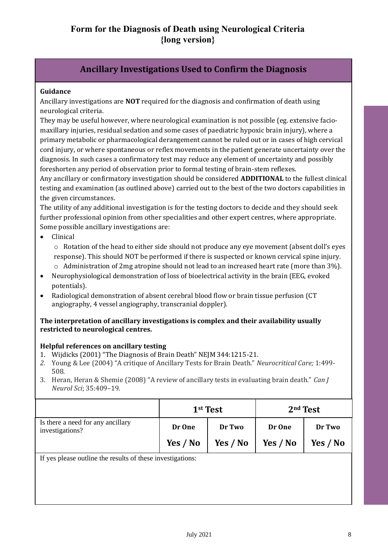# **Ancillary Investigations Used to Confirm the Diagnosis**

#### **Guidance**

Ancillary investigations are **NOT** required for the diagnosis and confirmation of death using neurological criteria.

They may be useful however, where neurological examination is not possible (eg. extensive faciomaxillary injuries, residual sedation and some cases of paediatric hypoxic brain injury), where a primary metabolic or pharmacological derangement cannot be ruled out or in cases of high cervical cord injury, or where spontaneous or reflex movements in the patient generate uncertainty over the diagnosis. In such cases a confirmatory test may reduce any element of uncertainty and possibly foreshorten any period of observation prior to formal testing of brain-stem reflexes.

Any ancillary or confirmatory investigation should be considered **ADDITIONAL** to the fullest clinical testing and examination (as outlined above) carried out to the best of the two doctors capabilities in the given circumstances.

The utility of any additional investigation is for the testing doctors to decide and they should seek further professional opinion from other specialities and other expert centres, where appropriate. Some possible ancillary investigations are:

• Clinical

o Rotation of the head to either side should not produce any eye movement (absent doll's eyes response). This should NOT be performed if there is suspected or known cervical spine injury.

- o Administration of 2mg atropine should not lead to an increased heart rate (more than 3%).
- Neurophysiological demonstration of loss of bioelectrical activity in the brain (EEG, evoked potentials).
- Radiological demonstration of absent cerebral blood flow or brain tissue perfusion (CT angiography, 4 vessel angiography, transcranial doppler).

#### **The interpretation of ancillary investigations is complex and their availability usually restricted to neurological centres.**

### **Helpful references on ancillary testing**

- 1. Wijdicks (2001) "The Diagnosis of Brain Death" NEJM 344:1215-21.
- *2.* Young & Lee (2004) "A critique of Ancillary Tests for Brain Death." *Neurocritical Care;* 1:499- 508.
- 3. Heran, Heran & Shemie (2008) "A review of ancillary tests in evaluating brain death." *Can J Neurol Sci*; 35:409–19.

|                                                      | 1 <sup>st</sup> Test |  |            | $2nd$ Test |
|------------------------------------------------------|----------------------|--|------------|------------|
| Is there a need for any ancillary<br>investigations? | Dr Two<br>Dr One     |  | Dr One     | Dr Two     |
|                                                      | Yes / No<br>Yes / No |  | Yes $/$ No | Yes / No   |

If yes please outline the results of these investigations: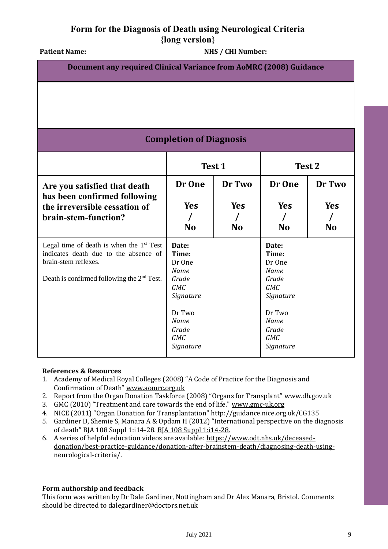Patient Name: **NHS** / CHI Number:

| Document any required Clinical Variance from AoMRC (2008) Guidance                                                                                                    |                                                                                                                            |                                   |                                                                                                                            |                            |  |  |  |
|-----------------------------------------------------------------------------------------------------------------------------------------------------------------------|----------------------------------------------------------------------------------------------------------------------------|-----------------------------------|----------------------------------------------------------------------------------------------------------------------------|----------------------------|--|--|--|
|                                                                                                                                                                       |                                                                                                                            |                                   |                                                                                                                            |                            |  |  |  |
|                                                                                                                                                                       | <b>Completion of Diagnosis</b>                                                                                             |                                   |                                                                                                                            |                            |  |  |  |
|                                                                                                                                                                       | Test 1<br>Test 2                                                                                                           |                                   |                                                                                                                            |                            |  |  |  |
| Are you satisfied that death<br>has been confirmed following<br>the irreversible cessation of<br>brain-stem-function?                                                 | Dr One<br><b>Yes</b><br><b>No</b>                                                                                          | Dr Two<br><b>Yes</b><br><b>No</b> | Dr One<br><b>Yes</b><br>$\prime$<br><b>No</b>                                                                              | Dr Two<br>Yes<br><b>No</b> |  |  |  |
| Legal time of death is when the $1st$ Test<br>indicates death due to the absence of<br>brain-stem reflexes.<br>Death is confirmed following the 2 <sup>nd</sup> Test. | Date:<br>Time:<br>Dr One<br>Name<br>Grade<br><b>GMC</b><br>Signature<br>Dr Two<br>Name<br>Grade<br><b>GMC</b><br>Signature |                                   | Date:<br>Time:<br>Dr One<br>Name<br>Grade<br><b>GMC</b><br>Signature<br>Dr Two<br>Name<br>Grade<br><b>GMC</b><br>Signature |                            |  |  |  |

#### **References & Resources**

- 1. Academy of Medical Royal Colleges (2008) "A Code of Practice for the Diagnosis and Confirmation of Death" [www.aomrc.org.uk](https://www.aomrc.org.uk/reports-guidance/ukdec-reports-and-guidance/code-practice-diagnosis-confirmation-death/)
- 2. Report from the Organ Donation Taskforce (2008) "Organs for Transplant" [www.dh.gov.uk](https://webarchive.nationalarchives.gov.uk/20130105051141/http:/www.dh.gov.uk/en/Publicationsandstatistics/Publications/PublicationsPolicyAndGuidance/DH_082122)
- 3. GMC (2010) "Treatment and care towards the end of life." [www.gmc-uk.org](http://www.gmc-uk.org/guidance/ethical_guidance/end_of_life_care.asp)
- 4. NICE (2011) "Organ Donation for Transplantation" <http://guidance.nice.org.uk/CG135>
- 5. Gardiner D, Shemie S, Manara A & Opdam H (2012) "International perspective on the diagnosis of death" BJA 108 Suppl 1:i14-28[. BJA 108 Suppl 1:i14-28.](http://bja.oxfordjournals.org/content/108/suppl_1/i14.full)
- 6. A series of helpful education videos are available[: https://www.odt.nhs.uk/deceased](https://www.odt.nhs.uk/deceased-donation/best-practice-guidance/donation-after-brainstem-death/diagnosing-death-using-neurological-criteria/)[donation/best-practice-guidance/donation-after-brainstem-death/diagnosing-death-using](https://www.odt.nhs.uk/deceased-donation/best-practice-guidance/donation-after-brainstem-death/diagnosing-death-using-neurological-criteria/)[neurological-criteria/.](https://www.odt.nhs.uk/deceased-donation/best-practice-guidance/donation-after-brainstem-death/diagnosing-death-using-neurological-criteria/)

### **Form authorship and feedback**

This form was written by Dr Dale Gardiner, Nottingham and Dr Alex Manara, Bristol. Comments should be directed to dalegardiner@doctors.net.uk